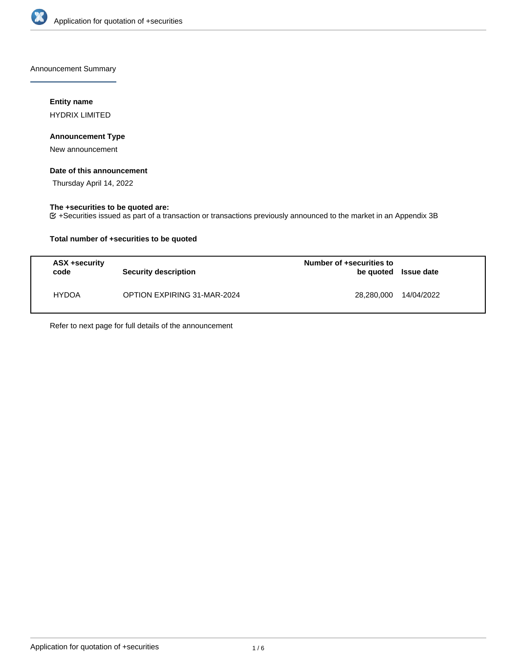

Announcement Summary

## **Entity name**

HYDRIX LIMITED

## **Announcement Type**

New announcement

## **Date of this announcement**

Thursday April 14, 2022

# **The +securities to be quoted are:**

+Securities issued as part of a transaction or transactions previously announced to the market in an Appendix 3B

## **Total number of +securities to be quoted**

| ASX +security<br>code | Security description               | Number of +securities to<br>be quoted Issue date |            |
|-----------------------|------------------------------------|--------------------------------------------------|------------|
| <b>HYDOA</b>          | <b>OPTION EXPIRING 31-MAR-2024</b> | 28.280.000                                       | 14/04/2022 |

Refer to next page for full details of the announcement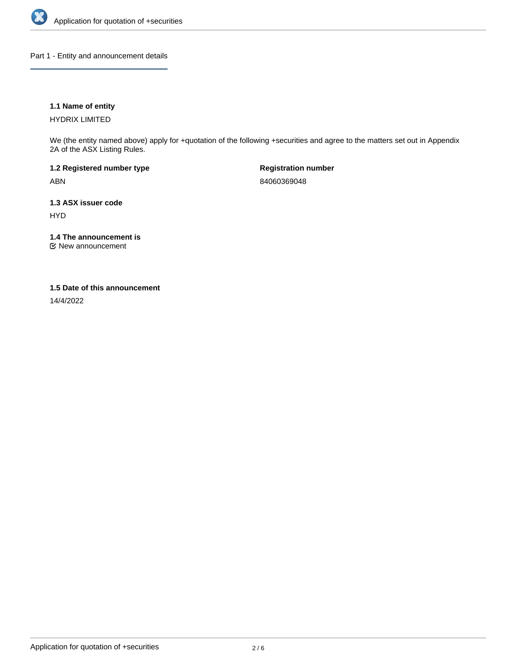

Part 1 - Entity and announcement details

## **1.1 Name of entity**

HYDRIX LIMITED

We (the entity named above) apply for +quotation of the following +securities and agree to the matters set out in Appendix 2A of the ASX Listing Rules.

**1.2 Registered number type** ABN

**Registration number** 84060369048

**1.3 ASX issuer code** HYD

**1.4 The announcement is**

New announcement

### **1.5 Date of this announcement**

14/4/2022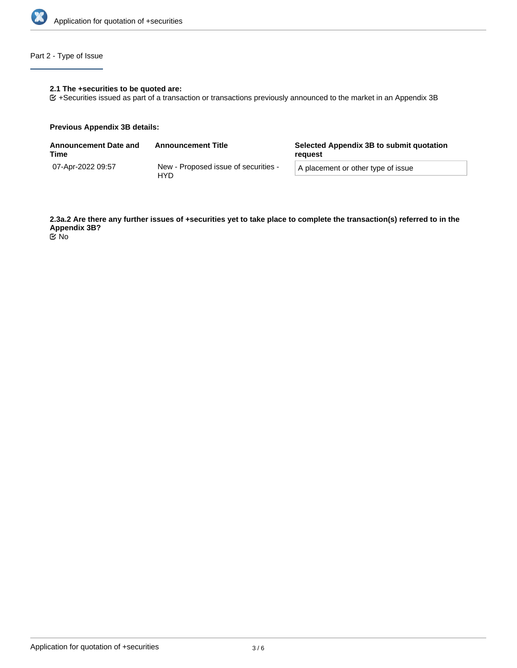

# Part 2 - Type of Issue

## **2.1 The +securities to be quoted are:**

+Securities issued as part of a transaction or transactions previously announced to the market in an Appendix 3B

#### **Previous Appendix 3B details:**

| <b>Announcement Date and</b><br>Time | <b>Announcement Title</b>                   | Selected Appendix 3B to submit quotation<br>reguest |  |
|--------------------------------------|---------------------------------------------|-----------------------------------------------------|--|
| 07-Apr-2022 09:57                    | New - Proposed issue of securities -<br>HYD | A placement or other type of issue                  |  |

**2.3a.2 Are there any further issues of +securities yet to take place to complete the transaction(s) referred to in the Appendix 3B?** No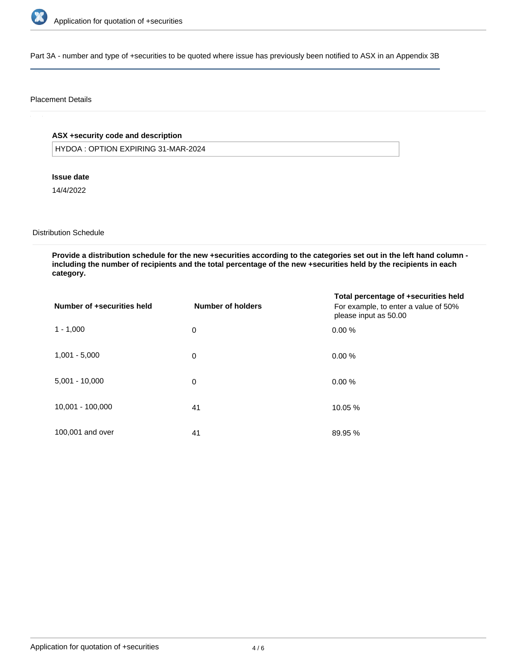

Part 3A - number and type of +securities to be quoted where issue has previously been notified to ASX in an Appendix 3B

### Placement Details

# **ASX +security code and description**

HYDOA : OPTION EXPIRING 31-MAR-2024

### **Issue date**

14/4/2022

# Distribution Schedule

**Provide a distribution schedule for the new +securities according to the categories set out in the left hand column including the number of recipients and the total percentage of the new +securities held by the recipients in each category.**

| Number of +securities held | <b>Number of holders</b> | Total percentage of +securities held<br>For example, to enter a value of 50%<br>please input as 50.00 |
|----------------------------|--------------------------|-------------------------------------------------------------------------------------------------------|
| $1 - 1,000$                | 0                        | 0.00%                                                                                                 |
| $1,001 - 5,000$            | 0                        | 0.00%                                                                                                 |
| $5,001 - 10,000$           | 0                        | 0.00%                                                                                                 |
| 10,001 - 100,000           | 41                       | 10.05 %                                                                                               |
| 100,001 and over           | 41                       | 89.95 %                                                                                               |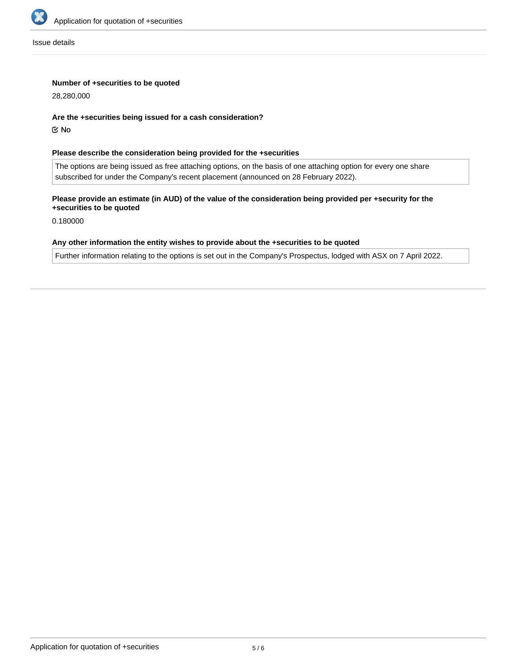

Issue details

## **Number of +securities to be quoted**

28,280,000

#### **Are the +securities being issued for a cash consideration?**

No

## **Please describe the consideration being provided for the +securities**

The options are being issued as free attaching options, on the basis of one attaching option for every one share subscribed for under the Company's recent placement (announced on 28 February 2022).

# **Please provide an estimate (in AUD) of the value of the consideration being provided per +security for the +securities to be quoted**

0.180000

#### **Any other information the entity wishes to provide about the +securities to be quoted**

Further information relating to the options is set out in the Company's Prospectus, lodged with ASX on 7 April 2022.